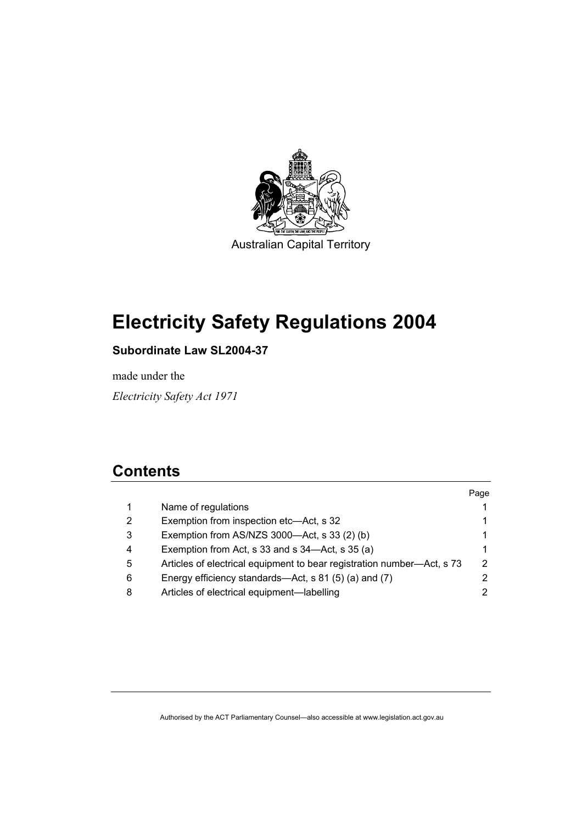

# **Electricity Safety Regulations 2004**

# **Subordinate Law SL2004-37**

made under the

*Electricity Safety Act 1971* 

# **Contents**

| Name of regulations<br>1<br>Exemption from inspection etc—Act, s 32<br>2<br>Exemption from AS/NZS 3000-Act, s 33 (2) (b)<br>3<br>Exemption from Act, s 33 and s 34—Act, s 35 (a)<br>4<br>Articles of electrical equipment to bear registration number—Act, s 73<br>5<br>Energy efficiency standards—Act, s 81 (5) (a) and (7)<br>6<br>Articles of electrical equipment—labelling<br>8 |  | Page |
|---------------------------------------------------------------------------------------------------------------------------------------------------------------------------------------------------------------------------------------------------------------------------------------------------------------------------------------------------------------------------------------|--|------|
|                                                                                                                                                                                                                                                                                                                                                                                       |  |      |
|                                                                                                                                                                                                                                                                                                                                                                                       |  |      |
|                                                                                                                                                                                                                                                                                                                                                                                       |  |      |
|                                                                                                                                                                                                                                                                                                                                                                                       |  |      |
|                                                                                                                                                                                                                                                                                                                                                                                       |  | 2    |
|                                                                                                                                                                                                                                                                                                                                                                                       |  |      |
|                                                                                                                                                                                                                                                                                                                                                                                       |  | 2    |

Authorised by the ACT Parliamentary Counsel—also accessible at www.legislation.act.gov.au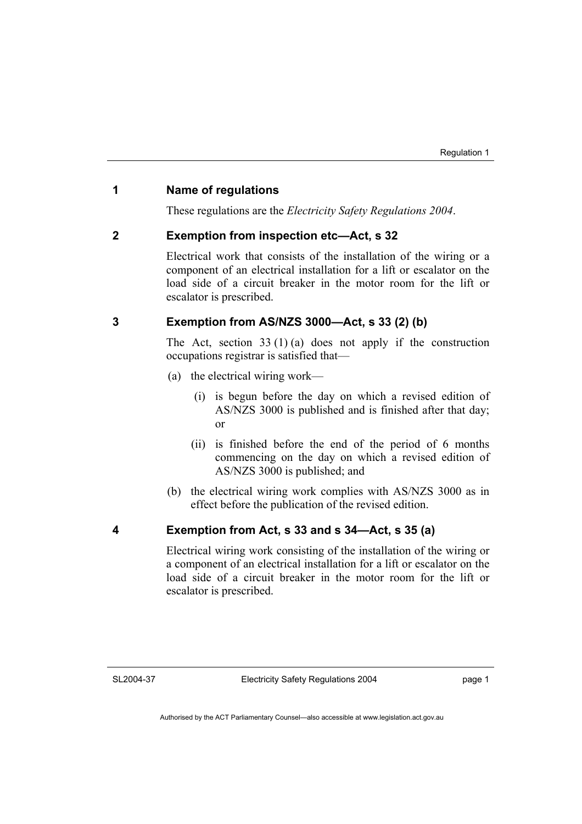# **1 Name of regulations**

These regulations are the *Electricity Safety Regulations 2004*.

# **2 Exemption from inspection etc—Act, s 32**

Electrical work that consists of the installation of the wiring or a component of an electrical installation for a lift or escalator on the load side of a circuit breaker in the motor room for the lift or escalator is prescribed.

# **3 Exemption from AS/NZS 3000—Act, s 33 (2) (b)**

The Act, section  $33(1)(a)$  does not apply if the construction occupations registrar is satisfied that—

- (a) the electrical wiring work—
	- (i) is begun before the day on which a revised edition of AS/NZS 3000 is published and is finished after that day; or
	- (ii) is finished before the end of the period of 6 months commencing on the day on which a revised edition of AS/NZS 3000 is published; and
- (b) the electrical wiring work complies with AS/NZS 3000 as in effect before the publication of the revised edition.

#### **4 Exemption from Act, s 33 and s 34—Act, s 35 (a)**

Electrical wiring work consisting of the installation of the wiring or a component of an electrical installation for a lift or escalator on the load side of a circuit breaker in the motor room for the lift or escalator is prescribed.

SL2004-37

page 1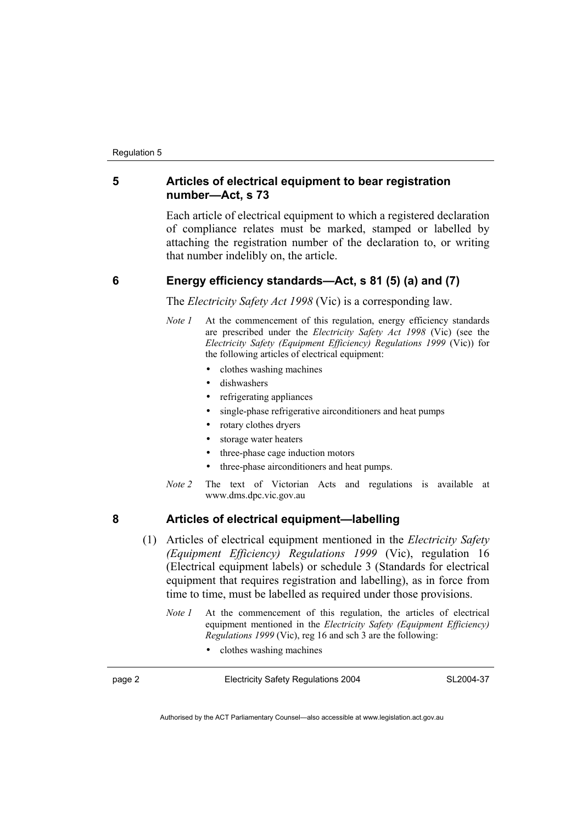# **5 Articles of electrical equipment to bear registration number—Act, s 73**

Each article of electrical equipment to which a registered declaration of compliance relates must be marked, stamped or labelled by attaching the registration number of the declaration to, or writing that number indelibly on, the article.

# **6 Energy efficiency standards—Act, s 81 (5) (a) and (7)**

The *Electricity Safety Act 1998* (Vic) is a corresponding law.

- *Note 1* At the commencement of this regulation, energy efficiency standards are prescribed under the *Electricity Safety Act 1998* (Vic) (see the *Electricity Safety (Equipment Efficiency) Regulations 1999* (Vic)) for the following articles of electrical equipment:
	- clothes washing machines
	- dishwashers
	- refrigerating appliances
	- single-phase refrigerative airconditioners and heat pumps
	- rotary clothes dryers
	- storage water heaters
	- three-phase cage induction motors
	- three-phase airconditioners and heat pumps.
- *Note 2* The text of Victorian Acts and regulations is available at www.dms.dpc.vic.gov.au

# **8 Articles of electrical equipment—labelling**

- (1) Articles of electrical equipment mentioned in the *Electricity Safety (Equipment Efficiency) Regulations 1999* (Vic), regulation 16 (Electrical equipment labels) or schedule 3 (Standards for electrical equipment that requires registration and labelling), as in force from time to time, must be labelled as required under those provisions.
	- *Note 1* At the commencement of this regulation, the articles of electrical equipment mentioned in the *Electricity Safety (Equipment Efficiency) Regulations 1999* (Vic), reg 16 and sch 3 are the following:
		- clothes washing machines

| page 2 | <b>Electricity Safety Regulations 2004</b> | SL2004-37 |
|--------|--------------------------------------------|-----------|
|        |                                            |           |